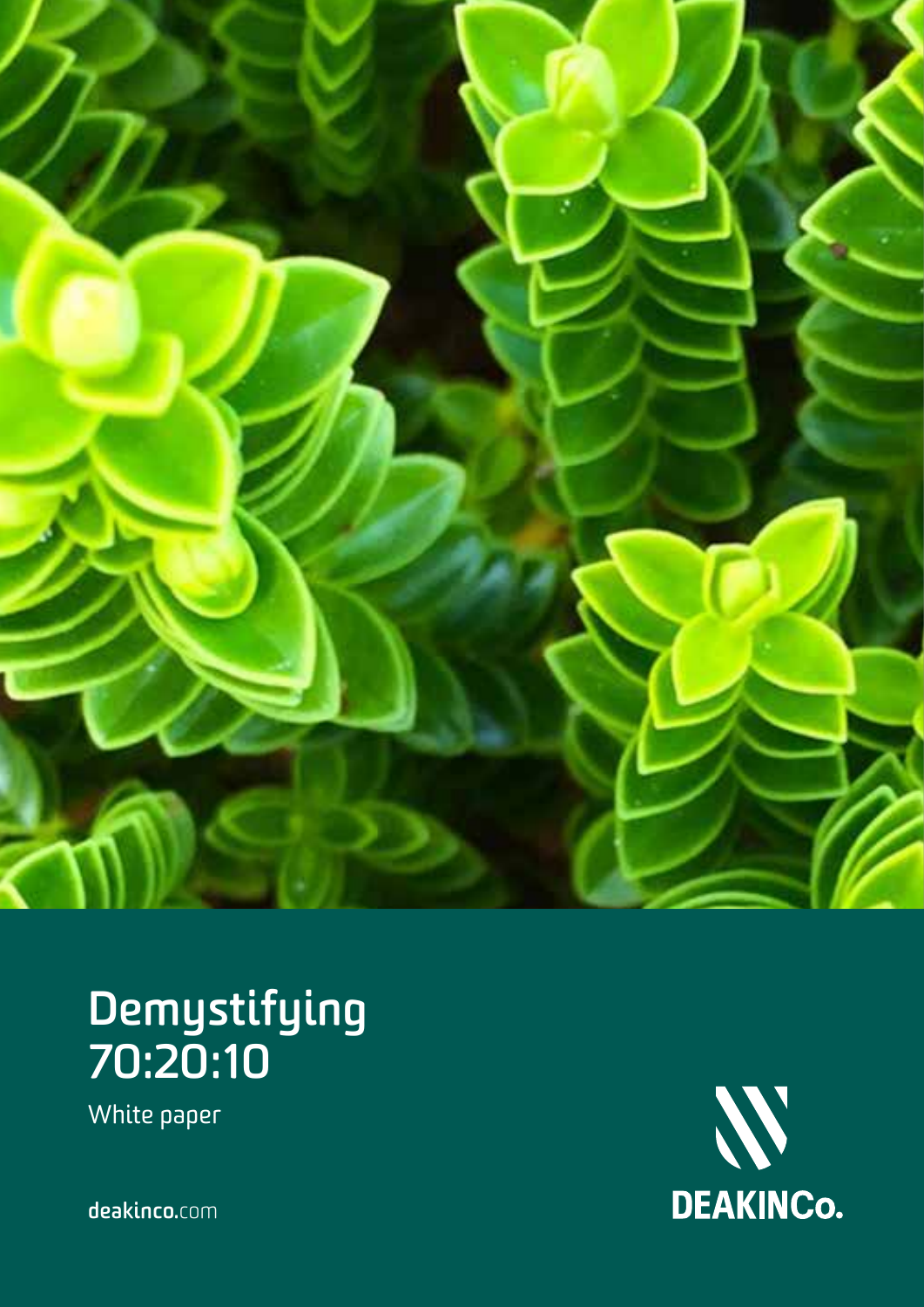

### **Demystifying 70:20:10**

White paper

N<br>DEAKINCO.

**deakinco.**com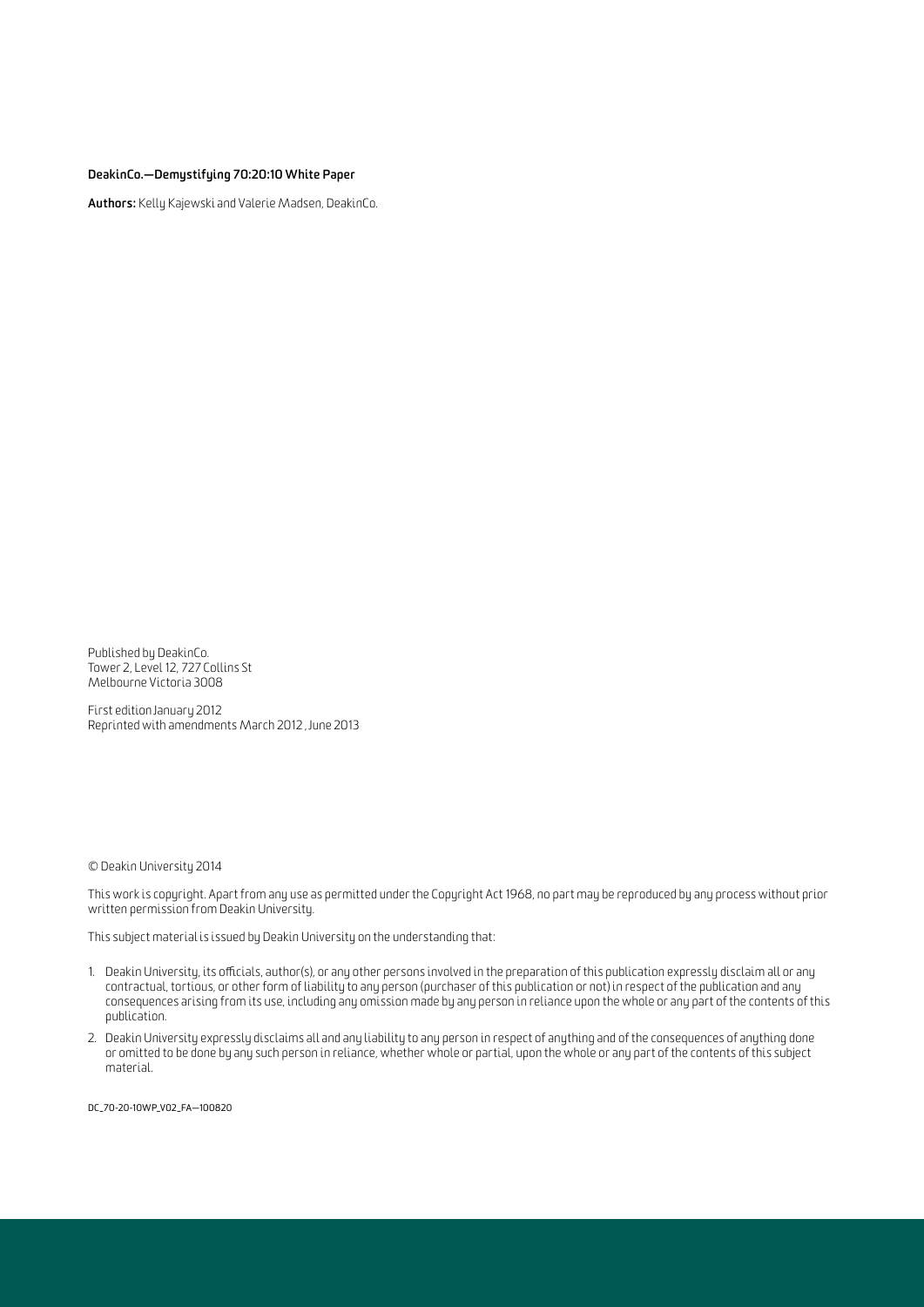**DeakinCo.—Demystifying 70:20:10 White Paper**

**Authors:** Kelly Kajewski and Valerie Madsen, DeakinCo.

Published by DeakinCo. Tower 2, Level 12, 727 Collins St Melbourne Victoria 3008

First edition January 2012 Reprinted with amendments March 2012 , June 2013

© Deakin University 2014

This work is copyright. Apart from any use as permitted under the Copyright Act 1968, no part may be reproduced by any process without prior written permission from Deakin University.

This subject material is issued by Deakin University on the understanding that:

- 1. Deakin University, its officials, author(s), or any other persons involved in the preparation of this publication expressly disclaim all or any contractual, tortious, or other form of liability to any person (purchaser of this publication or not) in respect of the publication and any consequences arising from its use, including any omission made by any person in reliance upon the whole or any part of the contents of this publication.
- 2. Deakin University expressly disclaims all and any liability to any person in respect of anything and of the consequences of anything done or omitted to be done by any such person in reliance, whether whole or partial, upon the whole or any part of the contents of this subject material.

dc\_70-20-10wp\_v02\_FA—100820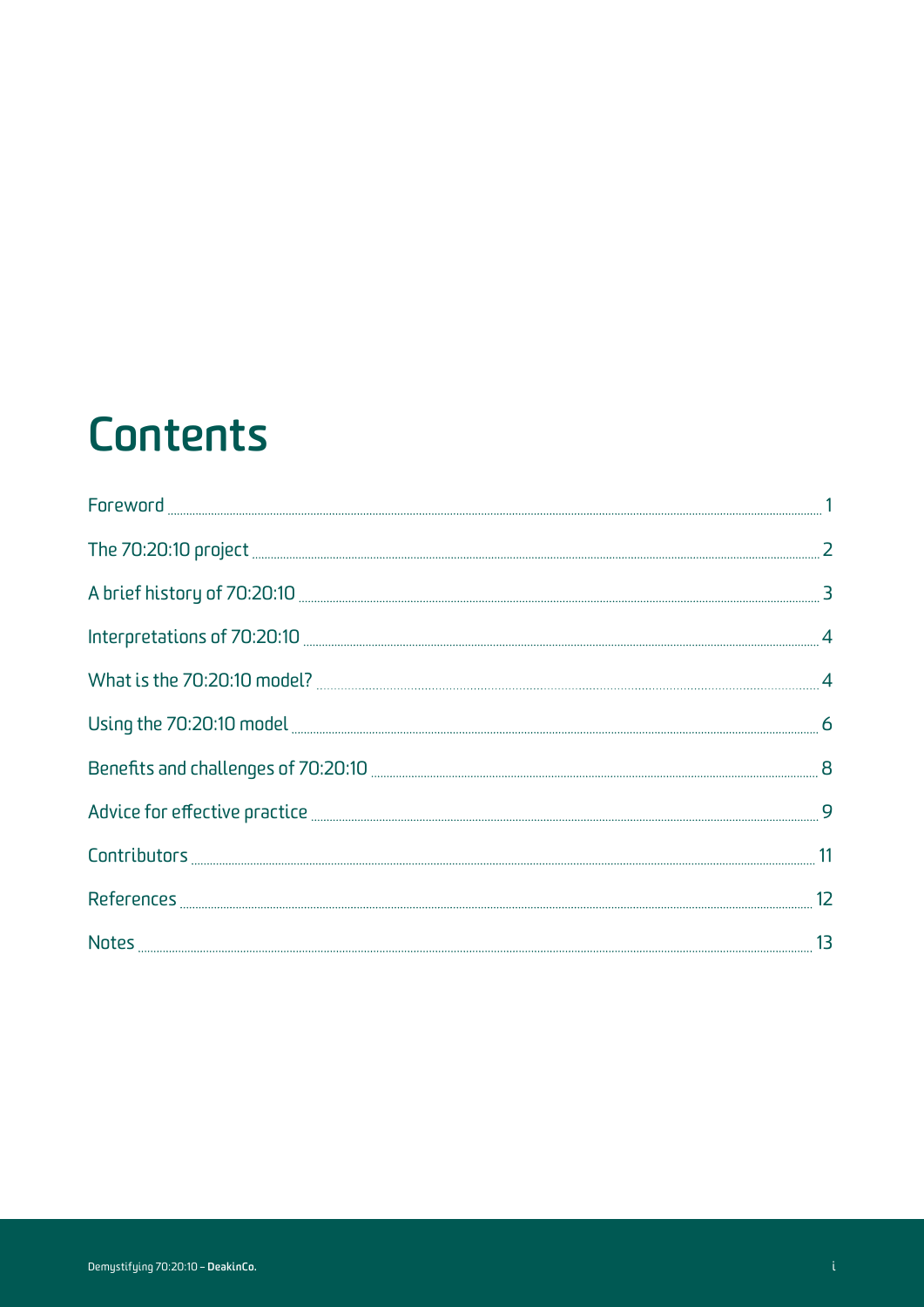### **Contents**

| $\begin{minipage}{.4\linewidth} \textbf{For} \textbf{word} \textbf{.} \textbf{} \textbf{} \textbf{} \textbf{} \textbf{} \textbf{} \textbf{} \textbf{} \textbf{} \textbf{} \textbf{} \textbf{} \textbf{} \textbf{} \textbf{} \textbf{} \textbf{} \textbf{} \textbf{} \textbf{} \textbf{} \textbf{} \textbf{} \textbf{} \textbf{} \textbf{} \textbf{} \textbf{} \textbf{} \textbf{} \textbf{} \textbf{$ |  |
|-------------------------------------------------------------------------------------------------------------------------------------------------------------------------------------------------------------------------------------------------------------------------------------------------------------------------------------------------------------------------------------------------------|--|
|                                                                                                                                                                                                                                                                                                                                                                                                       |  |
|                                                                                                                                                                                                                                                                                                                                                                                                       |  |
|                                                                                                                                                                                                                                                                                                                                                                                                       |  |
|                                                                                                                                                                                                                                                                                                                                                                                                       |  |
|                                                                                                                                                                                                                                                                                                                                                                                                       |  |
|                                                                                                                                                                                                                                                                                                                                                                                                       |  |
|                                                                                                                                                                                                                                                                                                                                                                                                       |  |
|                                                                                                                                                                                                                                                                                                                                                                                                       |  |
|                                                                                                                                                                                                                                                                                                                                                                                                       |  |
|                                                                                                                                                                                                                                                                                                                                                                                                       |  |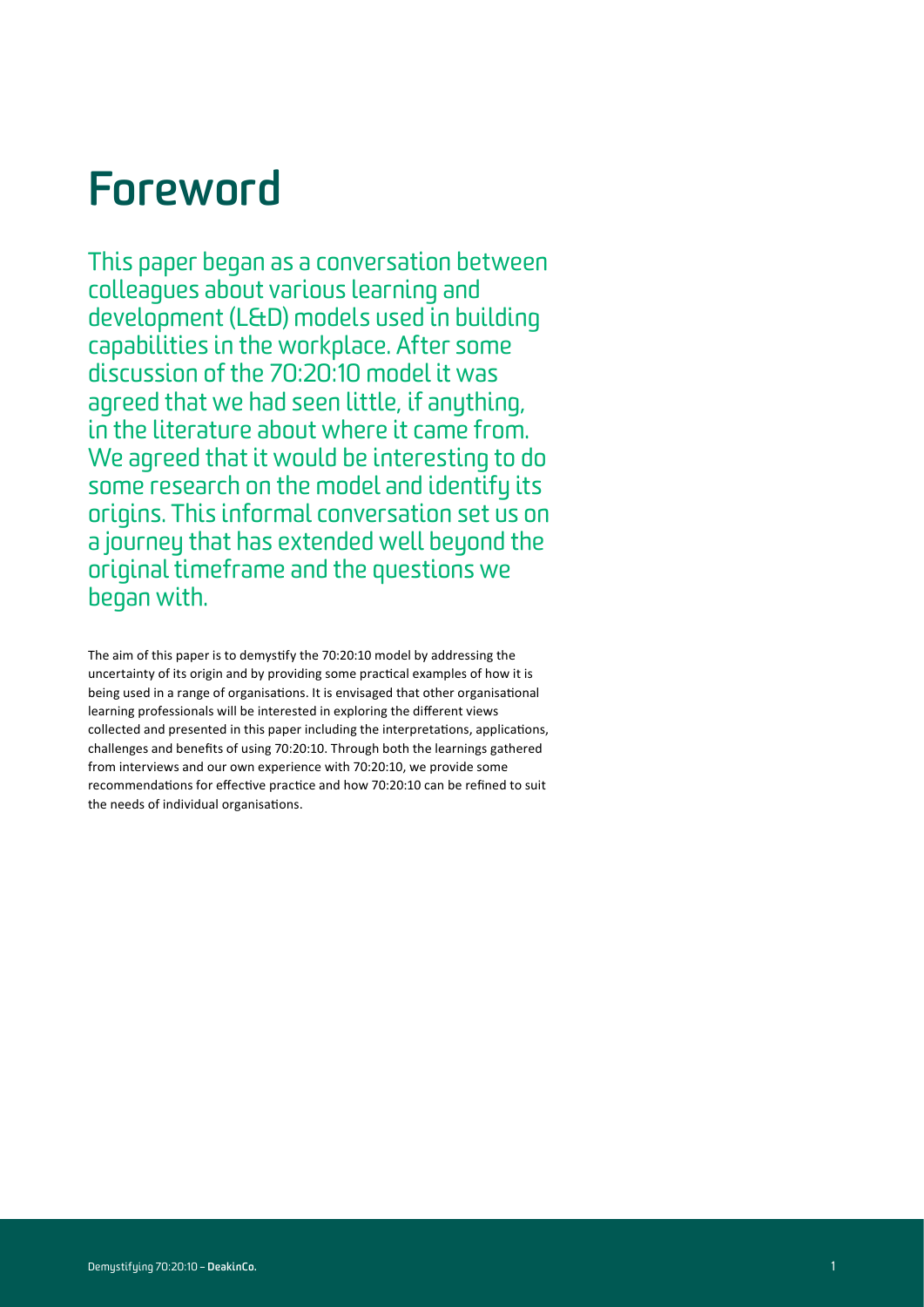#### **Foreword**

This paper began as a conversation between colleagues about various learning and development (L&D) models used in building capabilities in the workplace. After some discussion of the 70:20:10 model it was agreed that we had seen little, if anything. in the literature about where it came from. We agreed that it would be interesting to do some research on the model and identify its origins. This informal conversation set us on a journey that has extended well beyond the original timeframe and the questions we began with.

The aim of this paper is to demystify the 70:20:10 model by addressing the uncertainty of its origin and by providing some practical examples of how it is being used in a range of organisations. It is envisaged that other organisational learning professionals will be interested in exploring the different views collected and presented in this paper including the interpretations, applications, challenges and benefits of using 70:20:10. Through both the learnings gathered from interviews and our own experience with 70:20:10, we provide some recommendations for effective practice and how 70:20:10 can be refined to suit the needs of individual organisations.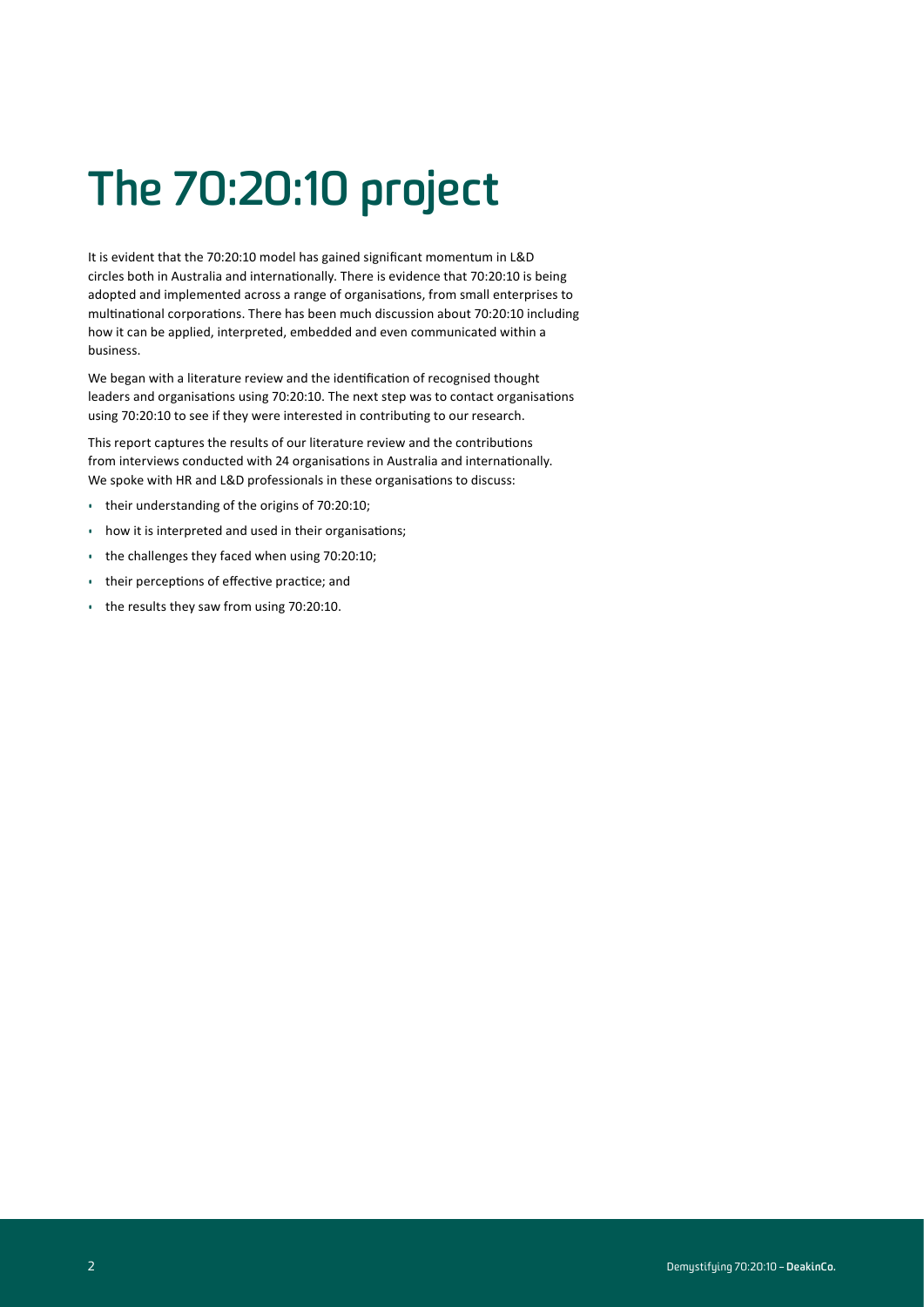# **The 70:20:10 project**

It is evident that the 70:20:10 model has gained significant momentum in L&D circles both in Australia and internationally. There is evidence that 70:20:10 is being adopted and implemented across a range of organisations, from small enterprises to multinational corporations. There has been much discussion about 70:20:10 including how it can be applied, interpreted, embedded and even communicated within a business.

We began with a literature review and the identification of recognised thought leaders and organisations using 70:20:10. The next step was to contact organisations using 70:20:10 to see if they were interested in contributing to our research.

This report captures the results of our literature review and the contributions from interviews conducted with 24 organisations in Australia and internationally. We spoke with HR and L&D professionals in these organisations to discuss:

- their understanding of the origins of 70:20:10;
- how it is interpreted and used in their organisations;
- the challenges they faced when using 70:20:10;
- their perceptions of effective practice; and
- the results they saw from using 70:20:10.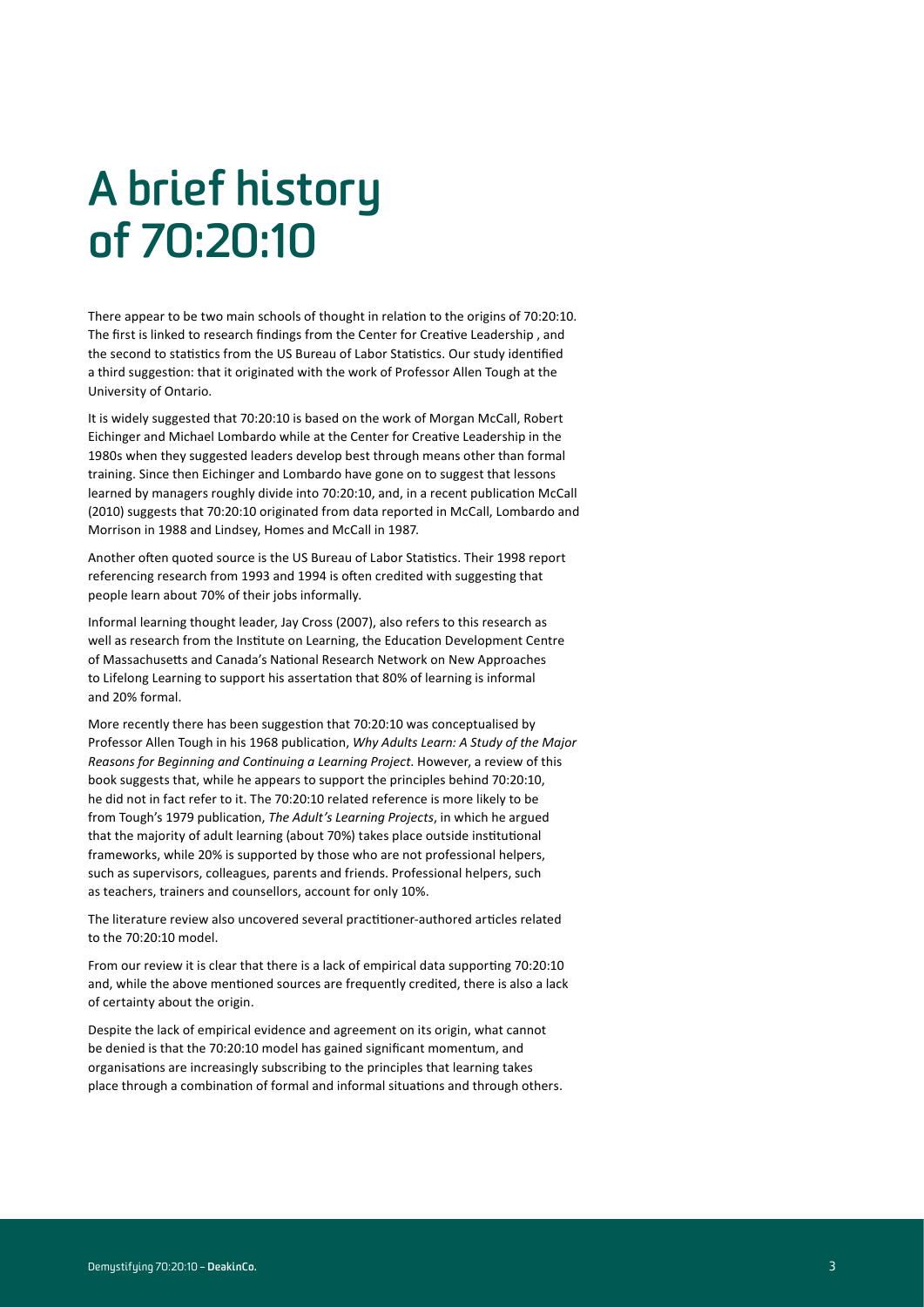# **A brief history of 70:20:10**

There appear to be two main schools of thought in relation to the origins of 70:20:10. The first is linked to research findings from the Center for Creative Leadership , and the second to statistics from the US Bureau of Labor Statistics. Our study identified a third suggestion: that it originated with the work of Professor Allen Tough at the University of Ontario.

It is widely suggested that 70:20:10 is based on the work of Morgan McCall, Robert Eichinger and Michael Lombardo while at the Center for Creative Leadership in the 1980s when they suggested leaders develop best through means other than formal training. Since then Eichinger and Lombardo have gone on to suggest that lessons learned by managers roughly divide into 70:20:10, and, in a recent publication McCall (2010) suggests that 70:20:10 originated from data reported in McCall, Lombardo and Morrison in 1988 and Lindsey, Homes and McCall in 1987.

Another often quoted source is the US Bureau of Labor Statistics. Their 1998 report referencing research from 1993 and 1994 is often credited with suggesting that people learn about 70% of their jobs informally.

Informal learning thought leader, Jay Cross (2007), also refers to this research as well as research from the Institute on Learning, the Education Development Centre of Massachusetts and Canada's National Research Network on New Approaches to Lifelong Learning to support his assertation that 80% of learning is informal and 20% formal.

More recently there has been suggestion that 70:20:10 was conceptualised by Professor Allen Tough in his 1968 publication, *Why Adults Learn: A Study of the Major Reasons for Beginning and Continuing a Learning Project*. However, a review of this book suggests that, while he appears to support the principles behind 70:20:10, he did not in fact refer to it. The 70:20:10 related reference is more likely to be from Tough's 1979 publication, *The Adult's Learning Projects*, in which he argued that the majority of adult learning (about 70%) takes place outside institutional frameworks, while 20% is supported by those who are not professional helpers, such as supervisors, colleagues, parents and friends. Professional helpers, such as teachers, trainers and counsellors, account for only 10%.

The literature review also uncovered several practitioner-authored articles related to the 70:20:10 model.

From our review it is clear that there is a lack of empirical data supporting 70:20:10 and, while the above mentioned sources are frequently credited, there is also a lack of certainty about the origin.

Despite the lack of empirical evidence and agreement on its origin, what cannot be denied is that the 70:20:10 model has gained significant momentum, and organisations are increasingly subscribing to the principles that learning takes place through a combination of formal and informal situations and through others.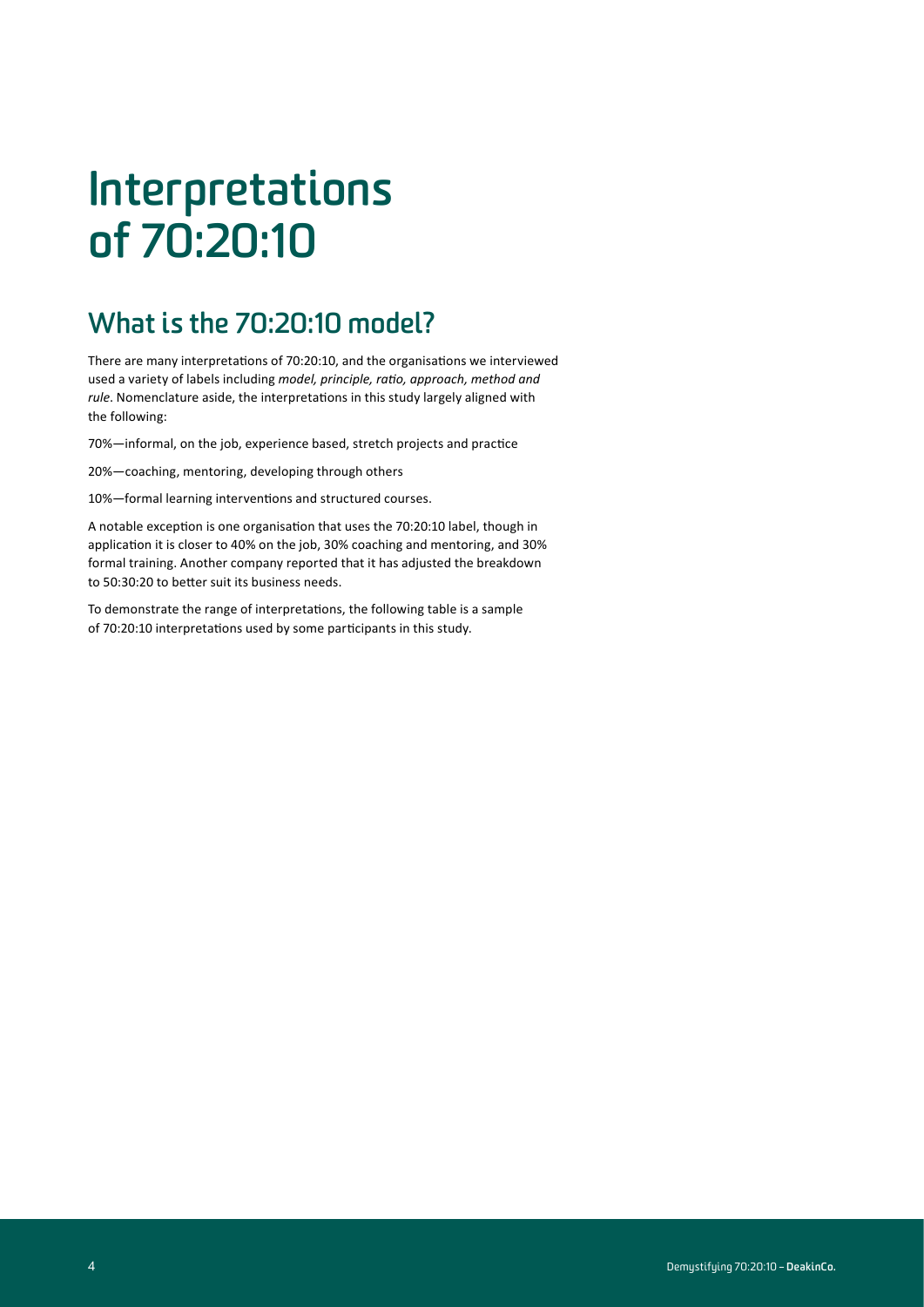# **Interpretations of 70:20:10**

#### **What is the 70:20:10 model?**

There are many interpretations of 70:20:10, and the organisations we interviewed used a variety of labels including *model, principle, ratio, approach, method and rule*. Nomenclature aside, the interpretations in this study largely aligned with the following:

70%—informal, on the job, experience based, stretch projects and practice

20%—coaching, mentoring, developing through others

10%—formal learning interventions and structured courses.

A notable exception is one organisation that uses the 70:20:10 label, though in application it is closer to 40% on the job, 30% coaching and mentoring, and 30% formal training. Another company reported that it has adjusted the breakdown to 50:30:20 to better suit its business needs.

To demonstrate the range of interpretations, the following table is a sample of 70:20:10 interpretations used by some participants in this study.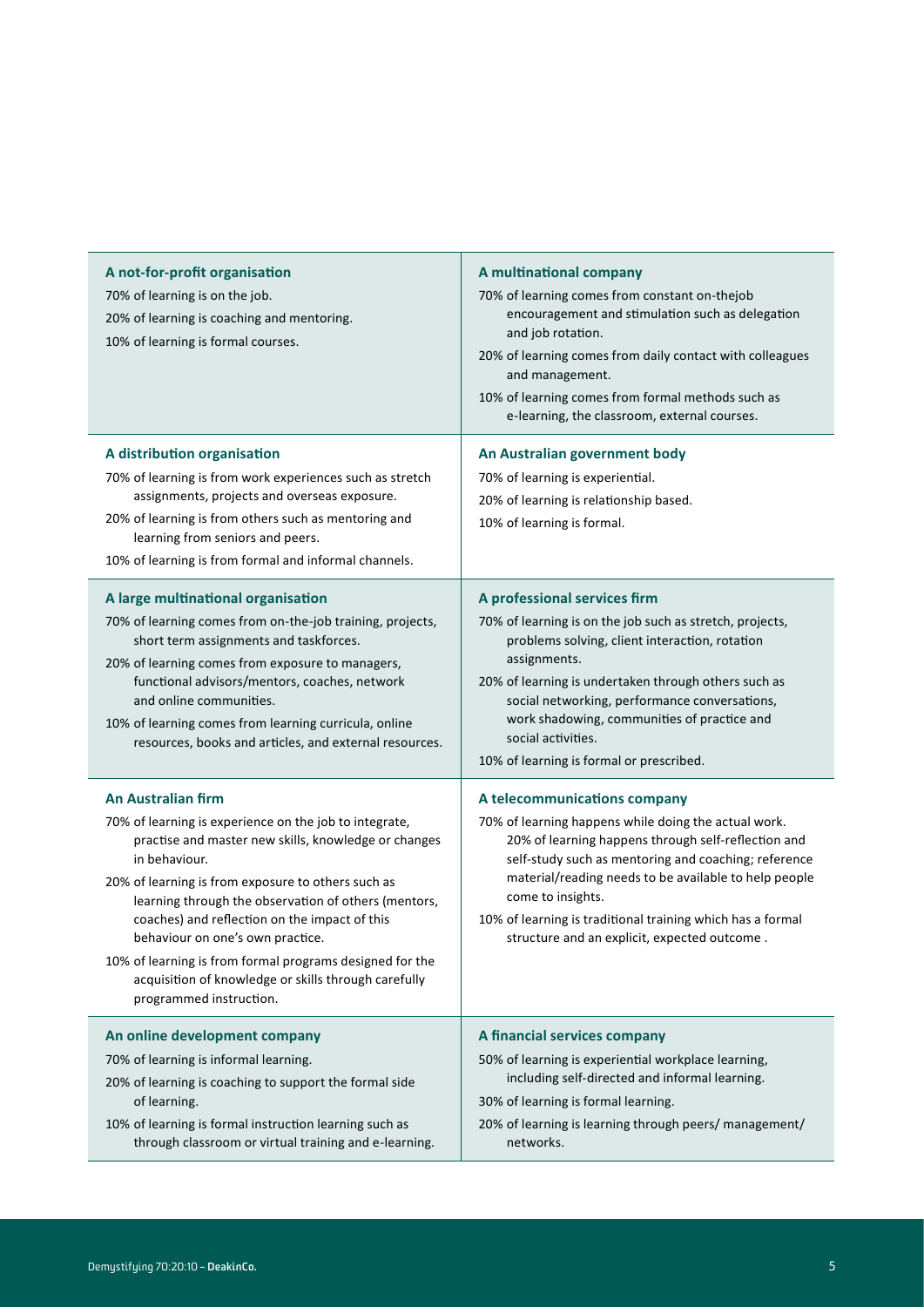| A not-for-profit organisation<br>70% of learning is on the job.<br>20% of learning is coaching and mentoring.<br>10% of learning is formal courses.                                                                                                                                                                                                                                                                                                                                                            | A multinational company<br>70% of learning comes from constant on-thejob<br>encouragement and stimulation such as delegation<br>and job rotation.<br>20% of learning comes from daily contact with colleagues<br>and management.<br>10% of learning comes from formal methods such as<br>e-learning, the classroom, external courses.                                                           |  |
|----------------------------------------------------------------------------------------------------------------------------------------------------------------------------------------------------------------------------------------------------------------------------------------------------------------------------------------------------------------------------------------------------------------------------------------------------------------------------------------------------------------|-------------------------------------------------------------------------------------------------------------------------------------------------------------------------------------------------------------------------------------------------------------------------------------------------------------------------------------------------------------------------------------------------|--|
| A distribution organisation<br>70% of learning is from work experiences such as stretch<br>assignments, projects and overseas exposure.<br>20% of learning is from others such as mentoring and<br>learning from seniors and peers.<br>10% of learning is from formal and informal channels.                                                                                                                                                                                                                   | An Australian government body<br>70% of learning is experiential.<br>20% of learning is relationship based.<br>10% of learning is formal.                                                                                                                                                                                                                                                       |  |
| A large multinational organisation<br>70% of learning comes from on-the-job training, projects,<br>short term assignments and taskforces.<br>20% of learning comes from exposure to managers,<br>functional advisors/mentors, coaches, network<br>and online communities.<br>10% of learning comes from learning curricula, online<br>resources, books and articles, and external resources.                                                                                                                   | A professional services firm<br>70% of learning is on the job such as stretch, projects,<br>problems solving, client interaction, rotation<br>assignments.<br>20% of learning is undertaken through others such as<br>social networking, performance conversations,<br>work shadowing, communities of practice and<br>social activities.<br>10% of learning is formal or prescribed.            |  |
| <b>An Australian firm</b><br>70% of learning is experience on the job to integrate,<br>practise and master new skills, knowledge or changes<br>in behaviour.<br>20% of learning is from exposure to others such as<br>learning through the observation of others (mentors,<br>coaches) and reflection on the impact of this<br>behaviour on one's own practice.<br>10% of learning is from formal programs designed for the<br>acquisition of knowledge or skills through carefully<br>programmed instruction. | A telecommunications company<br>70% of learning happens while doing the actual work.<br>20% of learning happens through self-reflection and<br>self-study such as mentoring and coaching; reference<br>material/reading needs to be available to help people<br>come to insights.<br>10% of learning is traditional training which has a formal<br>structure and an explicit, expected outcome. |  |
| An online development company<br>70% of learning is informal learning.<br>20% of learning is coaching to support the formal side<br>of learning.<br>10% of learning is formal instruction learning such as<br>through classroom or virtual training and e-learning.                                                                                                                                                                                                                                            | A financial services company<br>50% of learning is experiential workplace learning,<br>including self-directed and informal learning.<br>30% of learning is formal learning.<br>20% of learning is learning through peers/ management/<br>networks.                                                                                                                                             |  |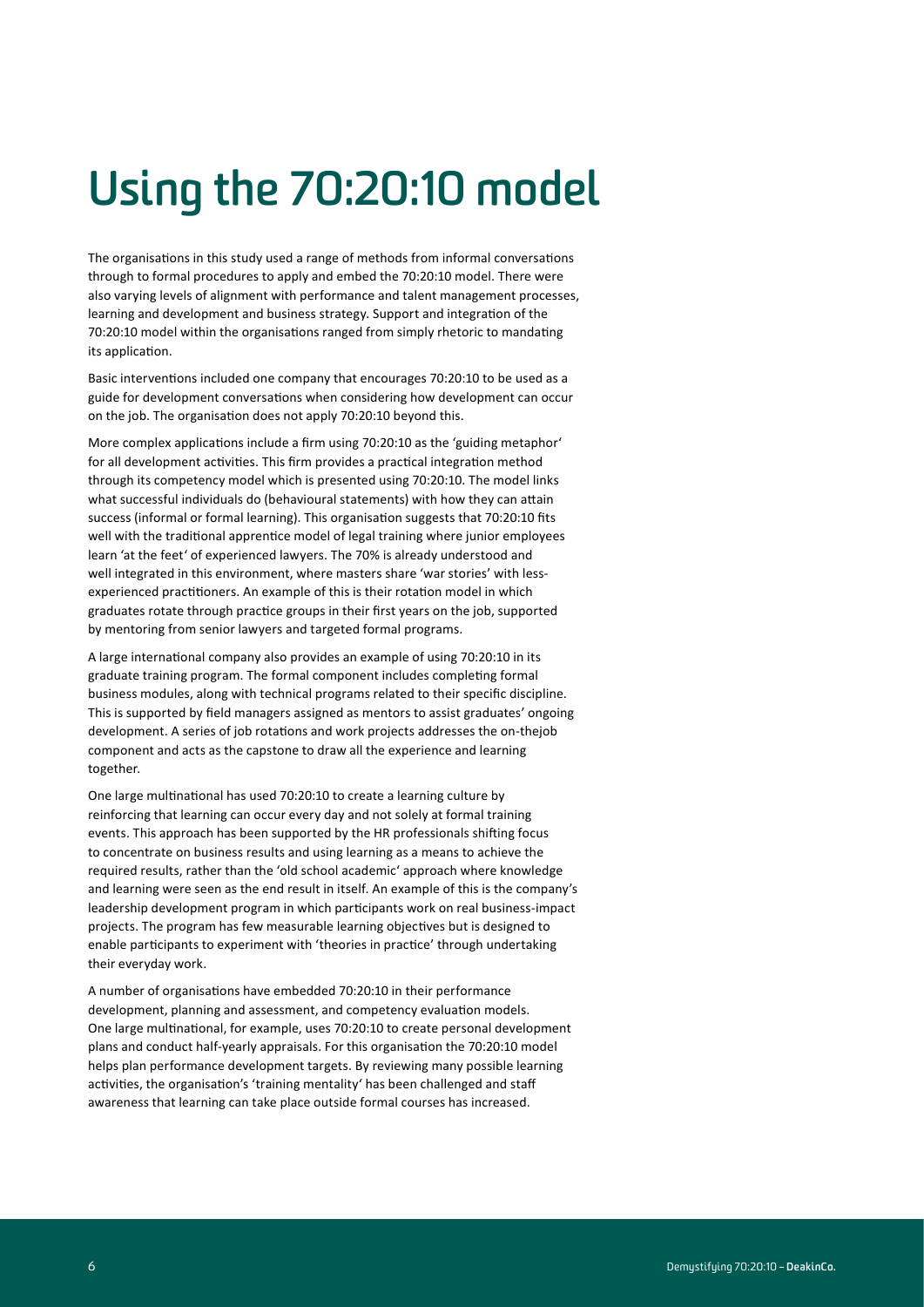# **Using the 70:20:10 model**

The organisations in this study used a range of methods from informal conversations through to formal procedures to apply and embed the 70:20:10 model. There were also varying levels of alignment with performance and talent management processes, learning and development and business strategy. Support and integration of the 70:20:10 model within the organisations ranged from simply rhetoric to mandating its application.

Basic interventions included one company that encourages 70:20:10 to be used as a guide for development conversations when considering how development can occur on the job. The organisation does not apply 70:20:10 beyond this.

More complex applications include a firm using 70:20:10 as the 'guiding metaphor' for all development activities. This firm provides a practical integration method through its competency model which is presented using 70:20:10. The model links what successful individuals do (behavioural statements) with how they can attain success (informal or formal learning). This organisation suggests that 70:20:10 fits well with the traditional apprentice model of legal training where junior employees learn 'at the feet' of experienced lawyers. The 70% is already understood and well integrated in this environment, where masters share 'war stories' with lessexperienced practitioners. An example of this is their rotation model in which graduates rotate through practice groups in their first years on the job, supported by mentoring from senior lawyers and targeted formal programs.

A large international company also provides an example of using 70:20:10 in its graduate training program. The formal component includes completing formal business modules, along with technical programs related to their specific discipline. This is supported by field managers assigned as mentors to assist graduates' ongoing development. A series of job rotations and work projects addresses the on-thejob component and acts as the capstone to draw all the experience and learning together.

One large multinational has used 70:20:10 to create a learning culture by reinforcing that learning can occur every day and not solely at formal training events. This approach has been supported by the HR professionals shifting focus to concentrate on business results and using learning as a means to achieve the required results, rather than the 'old school academic' approach where knowledge and learning were seen as the end result in itself. An example of this is the company's leadership development program in which participants work on real business-impact projects. The program has few measurable learning objectives but is designed to enable participants to experiment with 'theories in practice' through undertaking their everyday work.

A number of organisations have embedded 70:20:10 in their performance development, planning and assessment, and competency evaluation models. One large multinational, for example, uses 70:20:10 to create personal development plans and conduct half-yearly appraisals. For this organisation the 70:20:10 model helps plan performance development targets. By reviewing many possible learning activities, the organisation's 'training mentality' has been challenged and staff awareness that learning can take place outside formal courses has increased.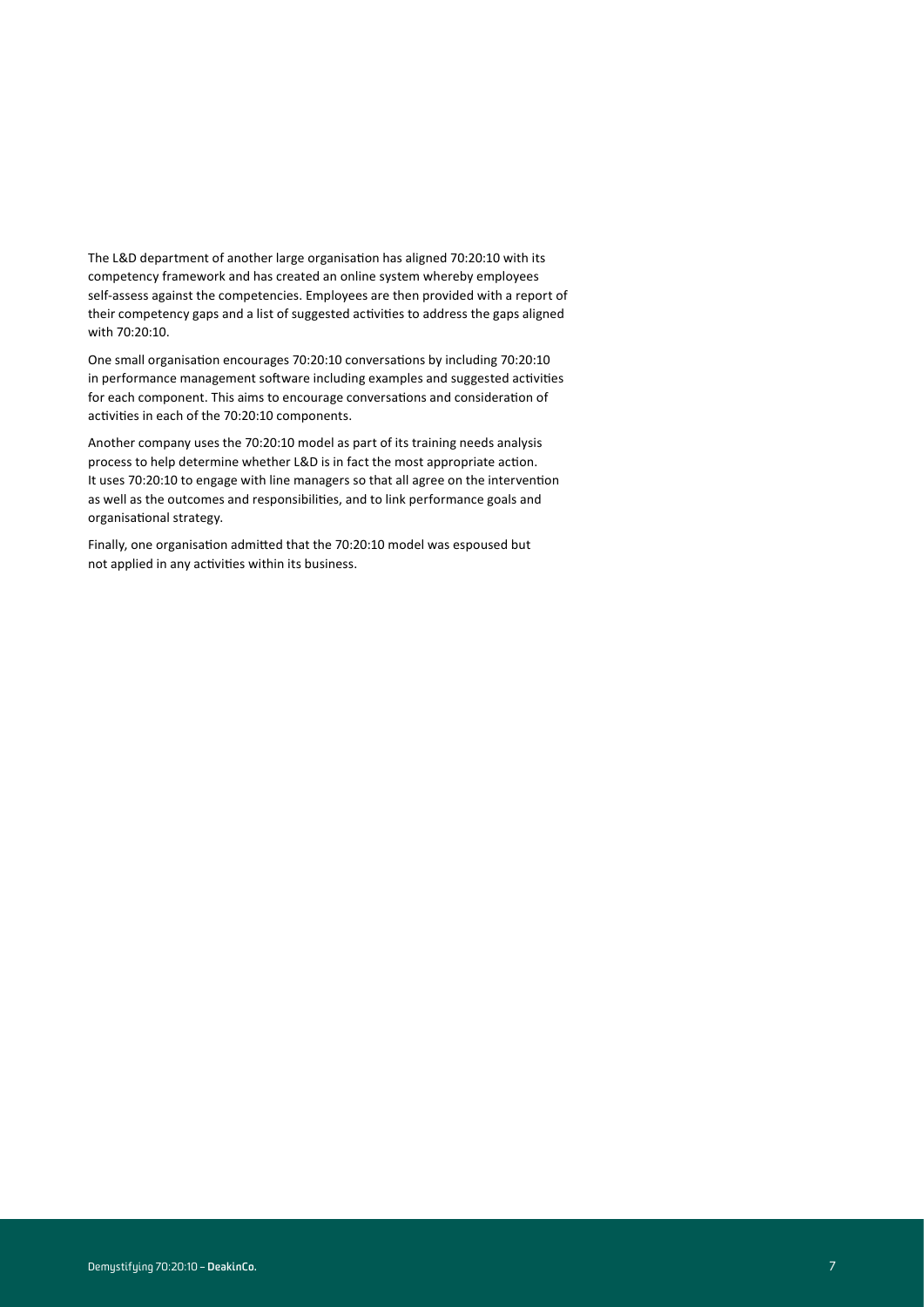The L&D department of another large organisation has aligned 70:20:10 with its competency framework and has created an online system whereby employees self-assess against the competencies. Employees are then provided with a report of their competency gaps and a list of suggested activities to address the gaps aligned with 70:20:10.

One small organisation encourages 70:20:10 conversations by including 70:20:10 in performance management software including examples and suggested activities for each component. This aims to encourage conversations and consideration of activities in each of the 70:20:10 components.

Another company uses the 70:20:10 model as part of its training needs analysis process to help determine whether L&D is in fact the most appropriate action. It uses 70:20:10 to engage with line managers so that all agree on the intervention as well as the outcomes and responsibilities, and to link performance goals and organisational strategy.

Finally, one organisation admitted that the 70:20:10 model was espoused but not applied in any activities within its business.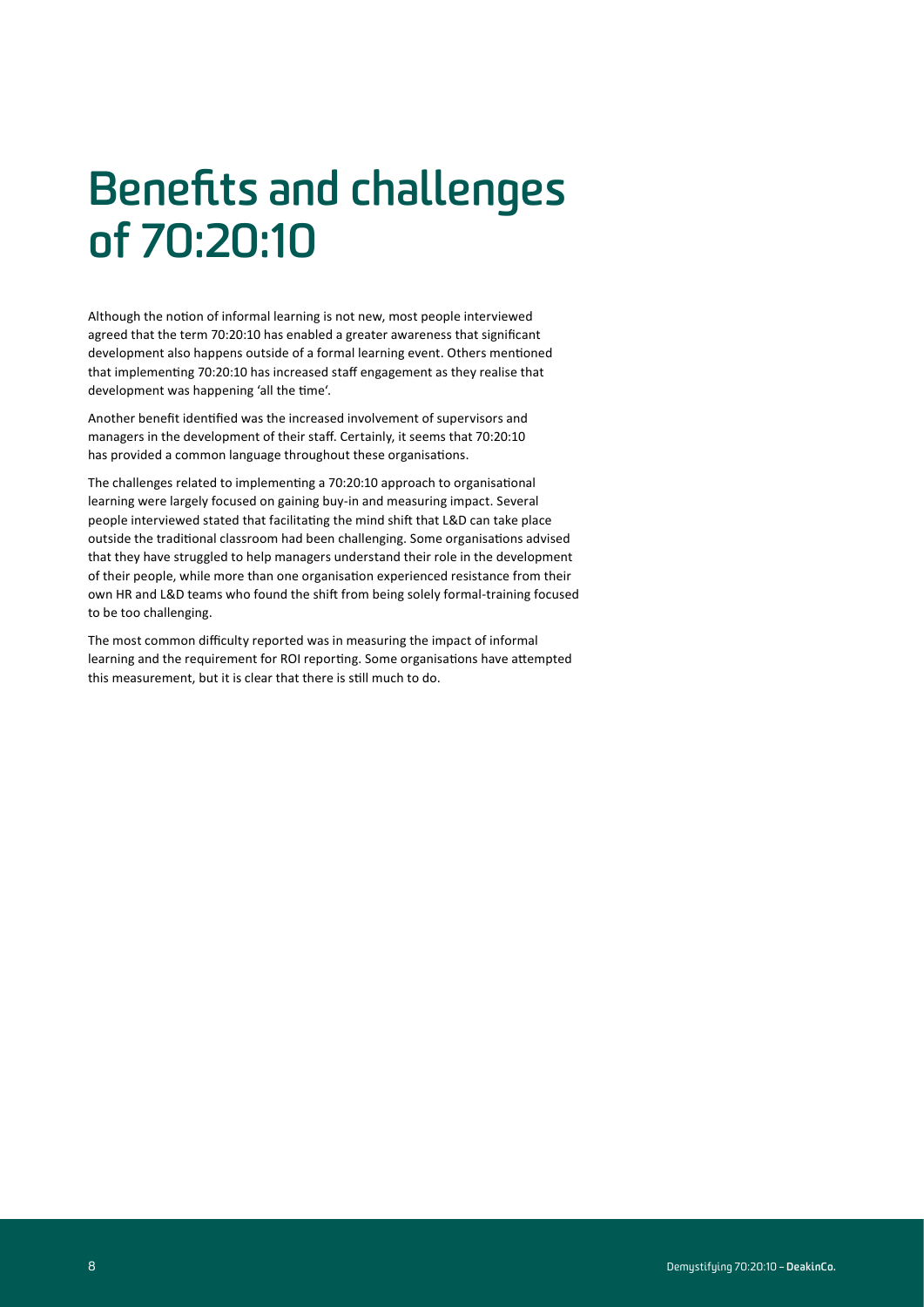### **Benefits and challenges of 70:20:10**

Although the notion of informal learning is not new, most people interviewed agreed that the term 70:20:10 has enabled a greater awareness that significant development also happens outside of a formal learning event. Others mentioned that implementing 70:20:10 has increased staff engagement as they realise that development was happening 'all the time'.

Another benefit identified was the increased involvement of supervisors and managers in the development of their staff. Certainly, it seems that 70:20:10 has provided a common language throughout these organisations.

The challenges related to implementing a 70:20:10 approach to organisational learning were largely focused on gaining buy-in and measuring impact. Several people interviewed stated that facilitating the mind shift that L&D can take place outside the traditional classroom had been challenging. Some organisations advised that they have struggled to help managers understand their role in the development of their people, while more than one organisation experienced resistance from their own HR and L&D teams who found the shift from being solely formal-training focused to be too challenging.

The most common difficulty reported was in measuring the impact of informal learning and the requirement for ROI reporting. Some organisations have attempted this measurement, but it is clear that there is still much to do.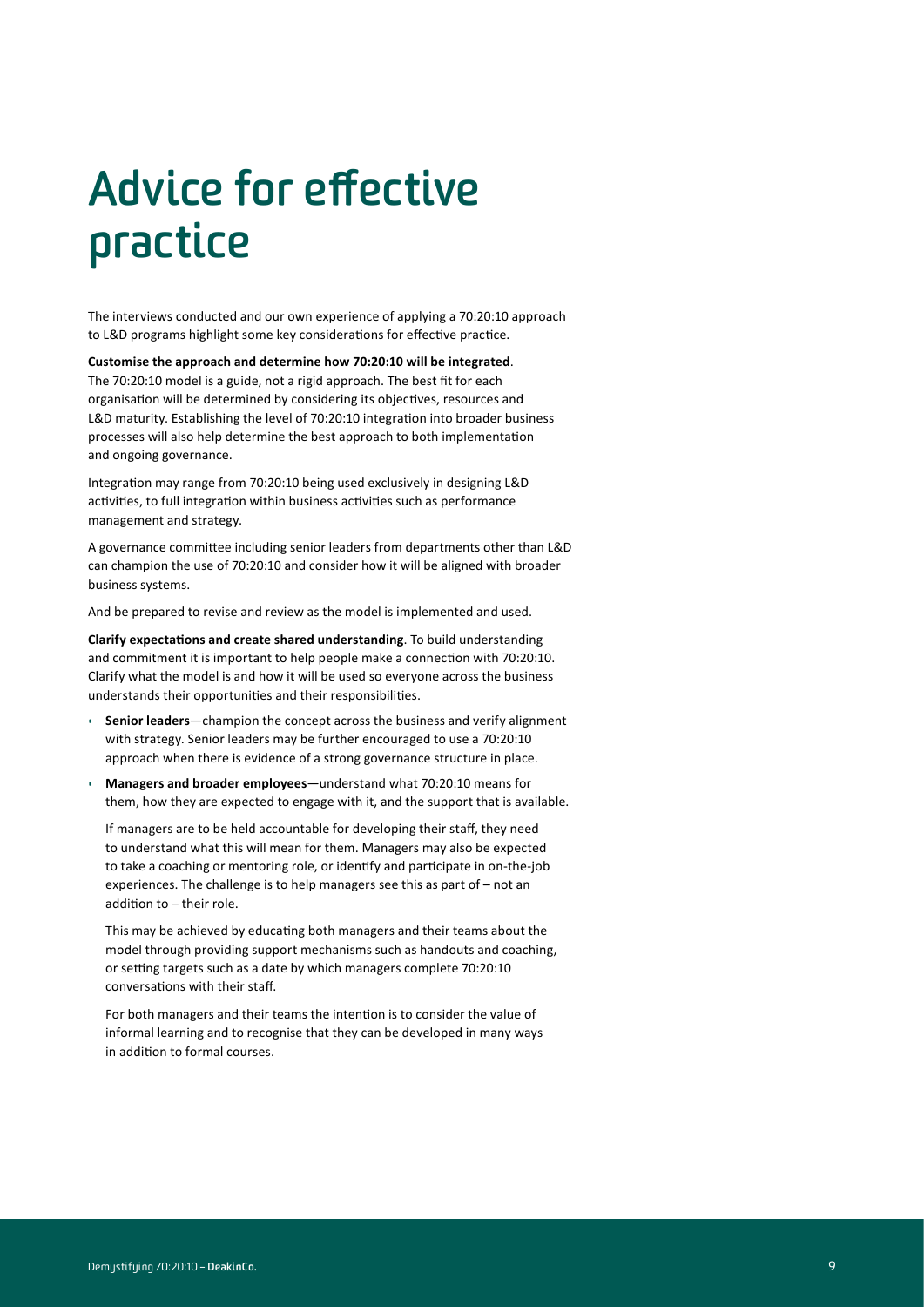# **Advice for effective practice**

The interviews conducted and our own experience of applying a 70:20:10 approach to L&D programs highlight some key considerations for effective practice.

**Customise the approach and determine how 70:20:10 will be integrated**.

The 70:20:10 model is a guide, not a rigid approach. The best fit for each organisation will be determined by considering its objectives, resources and L&D maturity. Establishing the level of 70:20:10 integration into broader business processes will also help determine the best approach to both implementation and ongoing governance.

Integration may range from 70:20:10 being used exclusively in designing L&D activities, to full integration within business activities such as performance management and strategy.

A governance committee including senior leaders from departments other than L&D can champion the use of 70:20:10 and consider how it will be aligned with broader business systems.

And be prepared to revise and review as the model is implemented and used.

**Clarify expectations and create shared understanding**. To build understanding and commitment it is important to help people make a connection with 70:20:10. Clarify what the model is and how it will be used so everyone across the business understands their opportunities and their responsibilities.

- **Senior leaders**—champion the concept across the business and verify alignment with strategy. Senior leaders may be further encouraged to use a 70:20:10 approach when there is evidence of a strong governance structure in place.
- **Managers and broader employees**—understand what 70:20:10 means for them, how they are expected to engage with it, and the support that is available.

If managers are to be held accountable for developing their staff, they need to understand what this will mean for them. Managers may also be expected to take a coaching or mentoring role, or identify and participate in on-the-job experiences. The challenge is to help managers see this as part of – not an addition to – their role.

This may be achieved by educating both managers and their teams about the model through providing support mechanisms such as handouts and coaching, or setting targets such as a date by which managers complete 70:20:10 conversations with their staff.

For both managers and their teams the intention is to consider the value of informal learning and to recognise that they can be developed in many ways in addition to formal courses.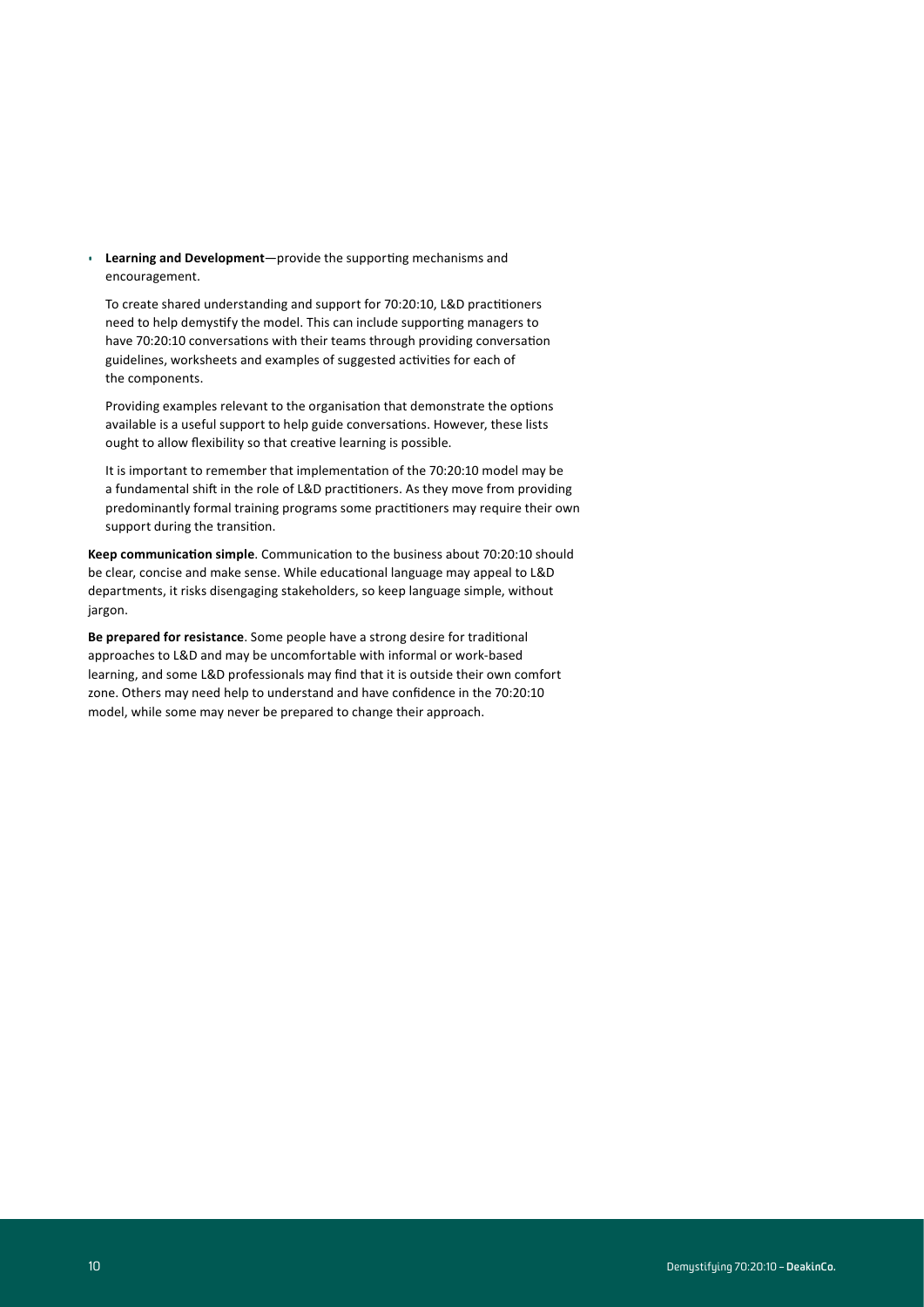• **Learning and Development**—provide the supporting mechanisms and encouragement.

To create shared understanding and support for 70:20:10, L&D practitioners need to help demystify the model. This can include supporting managers to have 70:20:10 conversations with their teams through providing conversation guidelines, worksheets and examples of suggested activities for each of the components.

Providing examples relevant to the organisation that demonstrate the options available is a useful support to help guide conversations. However, these lists ought to allow flexibility so that creative learning is possible.

It is important to remember that implementation of the 70:20:10 model may be a fundamental shift in the role of L&D practitioners. As they move from providing predominantly formal training programs some practitioners may require their own support during the transition.

**Keep communication simple**. Communication to the business about 70:20:10 should be clear, concise and make sense. While educational language may appeal to L&D departments, it risks disengaging stakeholders, so keep language simple, without jargon.

**Be prepared for resistance**. Some people have a strong desire for traditional approaches to L&D and may be uncomfortable with informal or work-based learning, and some L&D professionals may find that it is outside their own comfort zone. Others may need help to understand and have confidence in the 70:20:10 model, while some may never be prepared to change their approach.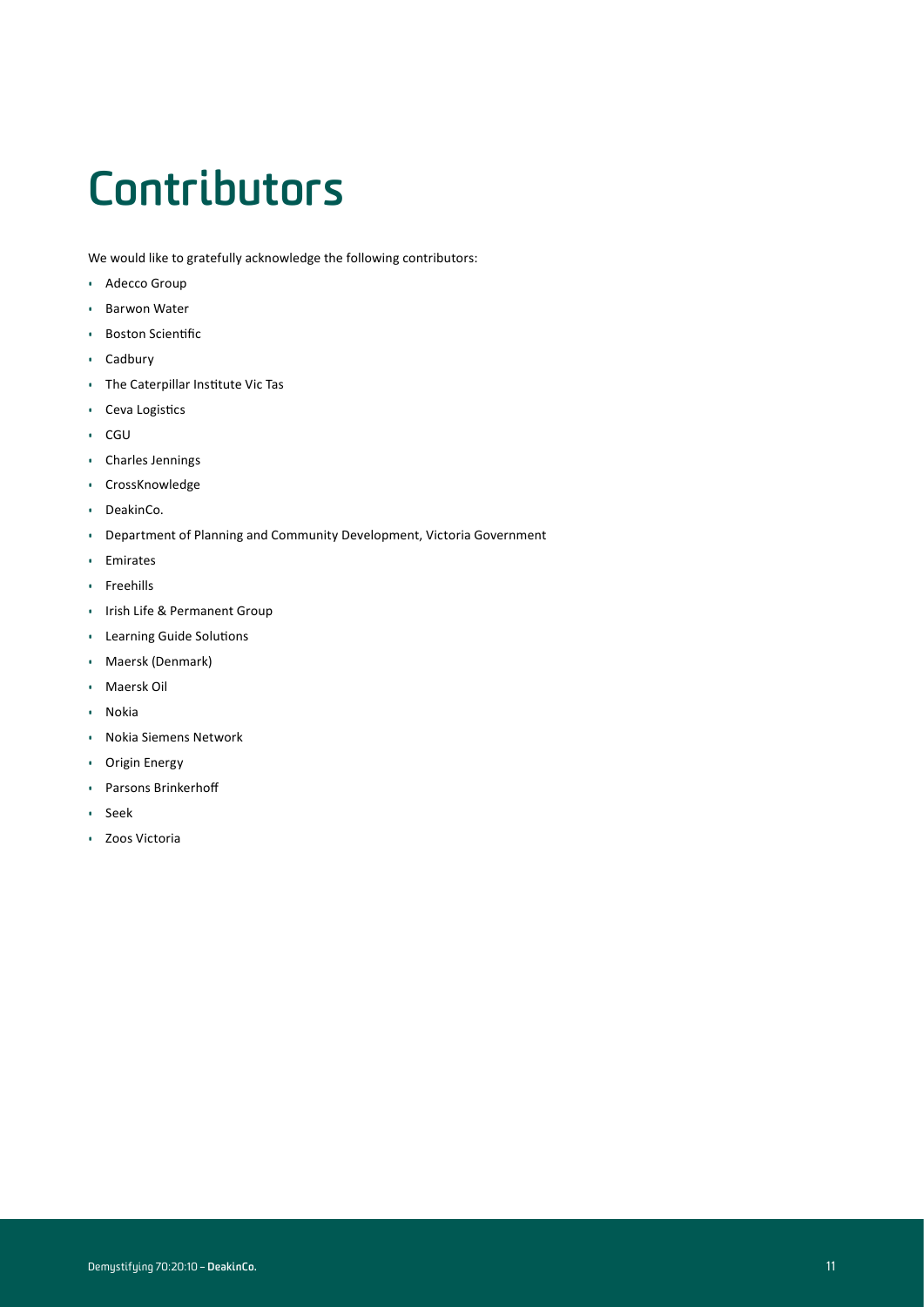# **Contributors**

We would like to gratefully acknowledge the following contributors:

- Adecco Group
- Barwon Water
- Boston Scientific
- Cadbury
- The Caterpillar Institute Vic Tas
- Ceva Logistics
- CGU
- Charles Jennings
- CrossKnowledge
- DeakinCo.
- Department of Planning and Community Development, Victoria Government
- Emirates
- Freehills
- Irish Life & Permanent Group
- Learning Guide Solutions
- Maersk (Denmark)
- Maersk Oil
- Nokia
- Nokia Siemens Network
- Origin Energy
- Parsons Brinkerhoff
- Seek
- Zoos Victoria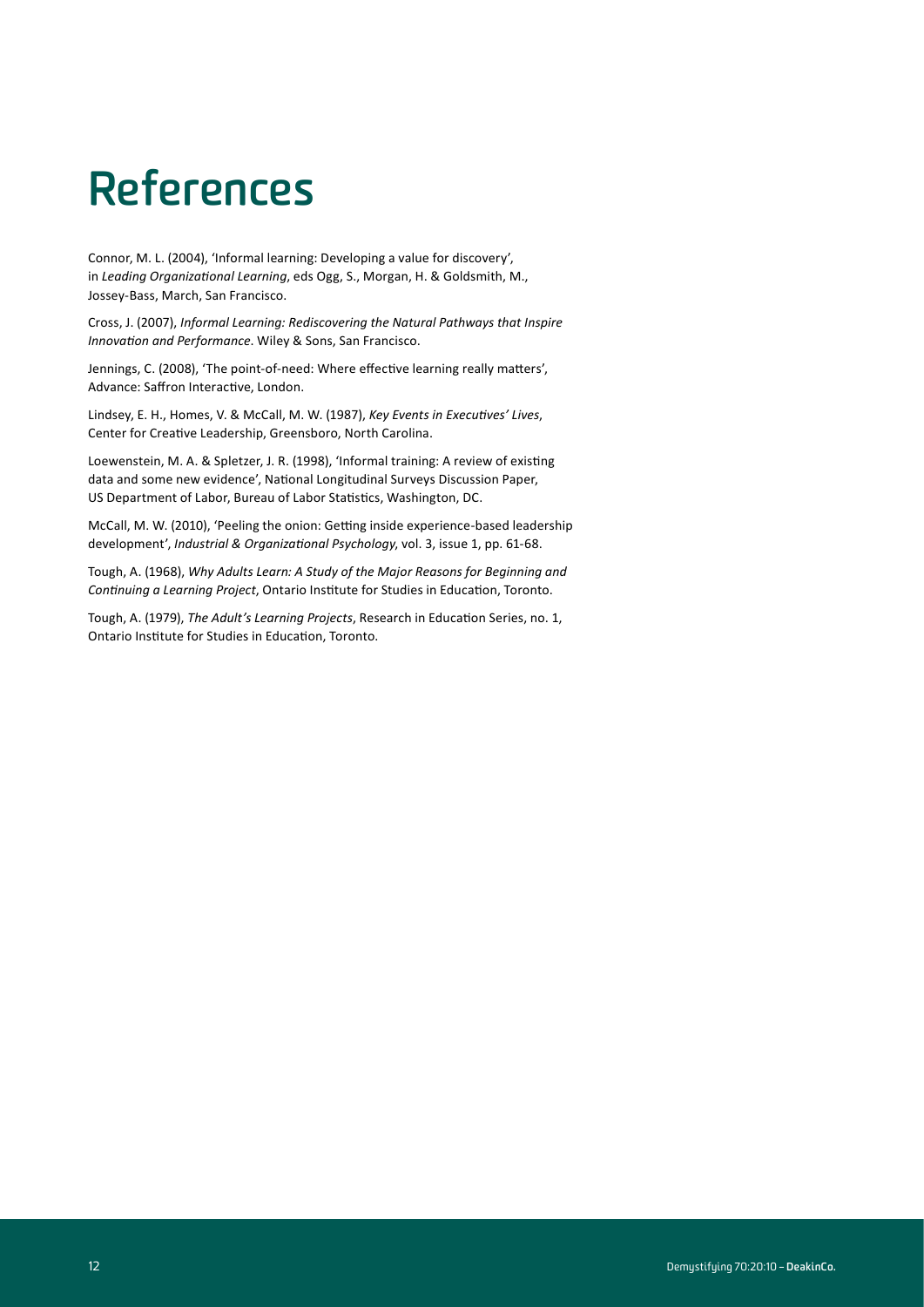# **References**

Connor, M. L. (2004), 'Informal learning: Developing a value for discovery', in *Leading Organizational Learning*, eds Ogg, S., Morgan, H. & Goldsmith, M., Jossey-Bass, March, San Francisco.

Cross, J. (2007), *Informal Learning: Rediscovering the Natural Pathways that Inspire Innovation and Performance*. Wiley & Sons, San Francisco.

Jennings, C. (2008), 'The point-of-need: Where effective learning really matters', Advance: Saffron Interactive, London.

Lindsey, E. H., Homes, V. & McCall, M. W. (1987), *Key Events in Executives' Lives*, Center for Creative Leadership, Greensboro, North Carolina.

Loewenstein, M. A. & Spletzer, J. R. (1998), 'Informal training: A review of existing data and some new evidence', National Longitudinal Surveys Discussion Paper, US Department of Labor, Bureau of Labor Statistics, Washington, DC.

McCall, M. W. (2010), 'Peeling the onion: Getting inside experience-based leadership development', *Industrial & Organizational Psychology*, vol. 3, issue 1, pp. 61-68.

Tough, A. (1968), *Why Adults Learn: A Study of the Major Reasons for Beginning and Continuing a Learning Project*, Ontario Institute for Studies in Education, Toronto.

Tough, A. (1979), *The Adult's Learning Projects*, Research in Education Series, no. 1, Ontario Institute for Studies in Education, Toronto.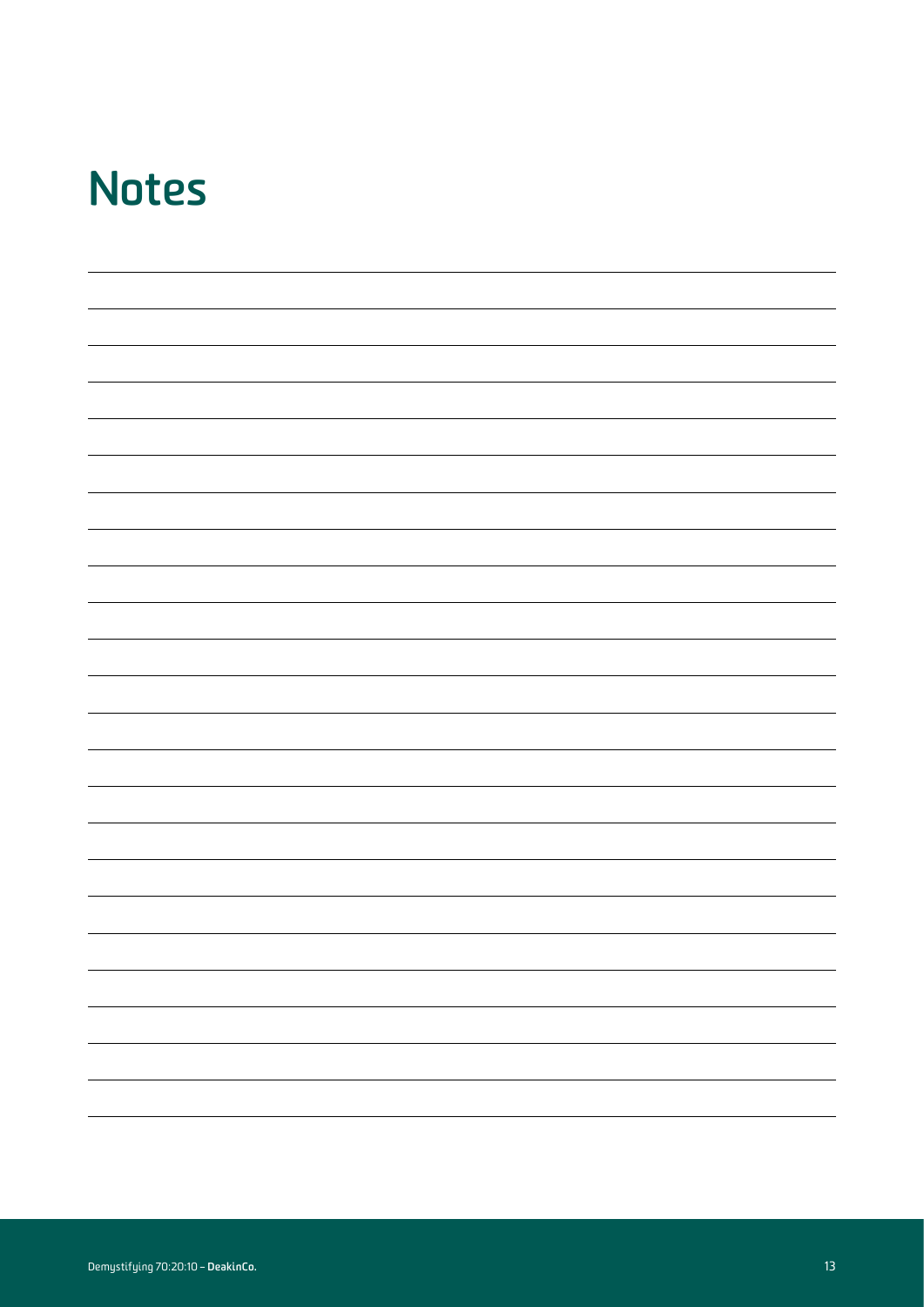#### **Notes**

| $\sim$ |  |  |
|--------|--|--|
|        |  |  |
|        |  |  |
|        |  |  |
|        |  |  |
|        |  |  |